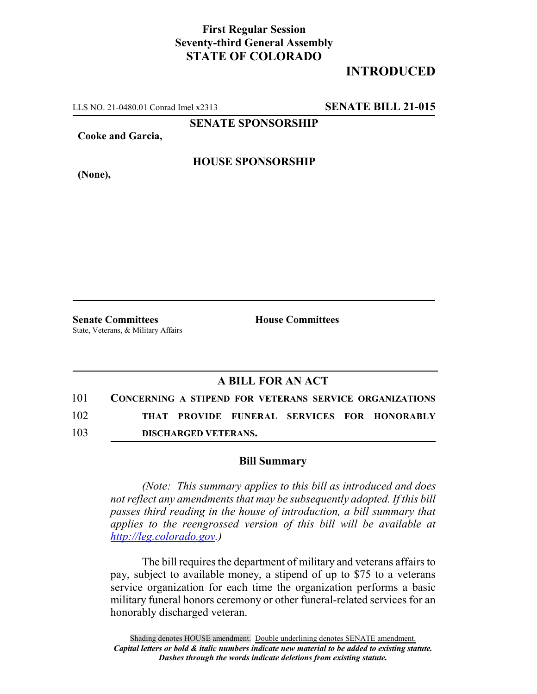## **First Regular Session Seventy-third General Assembly STATE OF COLORADO**

# **INTRODUCED**

LLS NO. 21-0480.01 Conrad Imel x2313 **SENATE BILL 21-015**

**SENATE SPONSORSHIP**

**Cooke and Garcia,**

**(None),**

#### **HOUSE SPONSORSHIP**

**Senate Committees House Committees** State, Veterans, & Military Affairs

### **A BILL FOR AN ACT**

| 101 | <b>CONCERNING A STIPEND FOR VETERANS SERVICE ORGANIZATIONS</b> |  |  |                                             |
|-----|----------------------------------------------------------------|--|--|---------------------------------------------|
| 102 |                                                                |  |  | THAT PROVIDE FUNERAL SERVICES FOR HONORABLY |

103 **DISCHARGED VETERANS.**

#### **Bill Summary**

*(Note: This summary applies to this bill as introduced and does not reflect any amendments that may be subsequently adopted. If this bill passes third reading in the house of introduction, a bill summary that applies to the reengrossed version of this bill will be available at http://leg.colorado.gov.)*

The bill requires the department of military and veterans affairs to pay, subject to available money, a stipend of up to \$75 to a veterans service organization for each time the organization performs a basic military funeral honors ceremony or other funeral-related services for an honorably discharged veteran.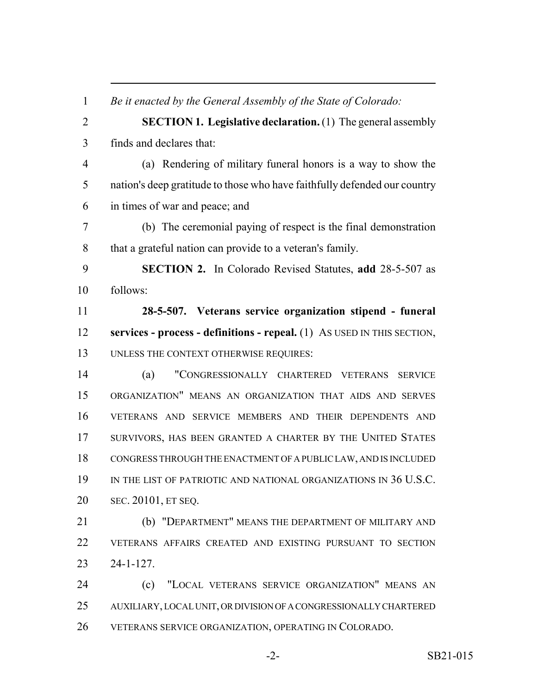| $\mathbf{1}$   | Be it enacted by the General Assembly of the State of Colorado:           |  |  |  |  |  |
|----------------|---------------------------------------------------------------------------|--|--|--|--|--|
| $\overline{2}$ | <b>SECTION 1. Legislative declaration.</b> (1) The general assembly       |  |  |  |  |  |
| 3              | finds and declares that:                                                  |  |  |  |  |  |
| $\overline{4}$ | (a) Rendering of military funeral honors is a way to show the             |  |  |  |  |  |
| 5              | nation's deep gratitude to those who have faithfully defended our country |  |  |  |  |  |
| 6              | in times of war and peace; and                                            |  |  |  |  |  |
| $\overline{7}$ | (b) The ceremonial paying of respect is the final demonstration           |  |  |  |  |  |
| 8              | that a grateful nation can provide to a veteran's family.                 |  |  |  |  |  |
| 9              | SECTION 2. In Colorado Revised Statutes, add 28-5-507 as                  |  |  |  |  |  |
| 10             | follows:                                                                  |  |  |  |  |  |
| 11             | 28-5-507. Veterans service organization stipend - funeral                 |  |  |  |  |  |
| 12             | services - process - definitions - repeal. (1) As USED IN THIS SECTION,   |  |  |  |  |  |
| 13             | UNLESS THE CONTEXT OTHERWISE REQUIRES:                                    |  |  |  |  |  |
| 14             | "CONGRESSIONALLY CHARTERED VETERANS<br>(a)<br><b>SERVICE</b>              |  |  |  |  |  |
| 15             | ORGANIZATION" MEANS AN ORGANIZATION THAT AIDS AND SERVES                  |  |  |  |  |  |
| 16             | VETERANS AND SERVICE MEMBERS AND THEIR DEPENDENTS AND                     |  |  |  |  |  |
| 17             | SURVIVORS, HAS BEEN GRANTED A CHARTER BY THE UNITED STATES                |  |  |  |  |  |
| 18             | CONGRESS THROUGH THE ENACTMENT OF A PUBLIC LAW, AND IS INCLUDED           |  |  |  |  |  |
| 19             | IN THE LIST OF PATRIOTIC AND NATIONAL ORGANIZATIONS IN 36 U.S.C.          |  |  |  |  |  |
| 20             | SEC. 20101, ET SEQ.                                                       |  |  |  |  |  |
| 21             | (b) "DEPARTMENT" MEANS THE DEPARTMENT OF MILITARY AND                     |  |  |  |  |  |
| 22             | VETERANS AFFAIRS CREATED AND EXISTING PURSUANT TO SECTION                 |  |  |  |  |  |
| 23             | $24 - 1 - 127$ .                                                          |  |  |  |  |  |
| 24             | "LOCAL VETERANS SERVICE ORGANIZATION" MEANS AN<br>(c)                     |  |  |  |  |  |
| 25             | AUXILIARY, LOCAL UNIT, OR DIVISION OF A CONGRESSIONALLY CHARTERED         |  |  |  |  |  |
| 26             | VETERANS SERVICE ORGANIZATION, OPERATING IN COLORADO.                     |  |  |  |  |  |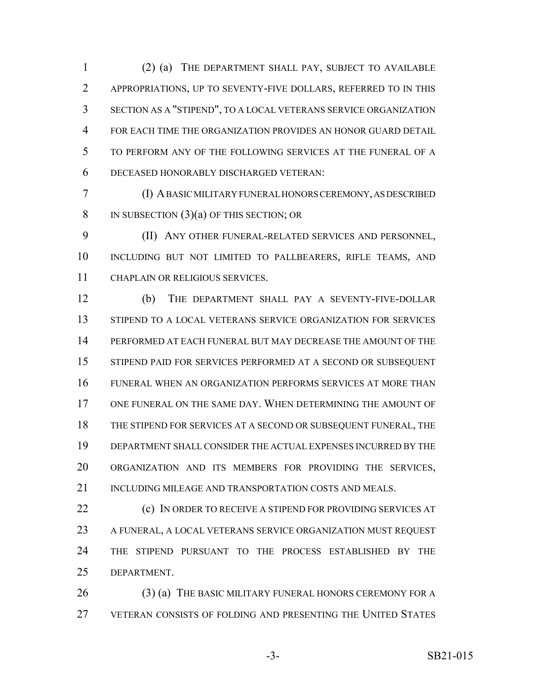(2) (a) THE DEPARTMENT SHALL PAY, SUBJECT TO AVAILABLE APPROPRIATIONS, UP TO SEVENTY-FIVE DOLLARS, REFERRED TO IN THIS SECTION AS A "STIPEND", TO A LOCAL VETERANS SERVICE ORGANIZATION FOR EACH TIME THE ORGANIZATION PROVIDES AN HONOR GUARD DETAIL TO PERFORM ANY OF THE FOLLOWING SERVICES AT THE FUNERAL OF A DECEASED HONORABLY DISCHARGED VETERAN:

 (I) A BASIC MILITARY FUNERAL HONORS CEREMONY, AS DESCRIBED 8 IN SUBSECTION  $(3)(a)$  OF THIS SECTION; OR

 (II) ANY OTHER FUNERAL-RELATED SERVICES AND PERSONNEL, INCLUDING BUT NOT LIMITED TO PALLBEARERS, RIFLE TEAMS, AND CHAPLAIN OR RELIGIOUS SERVICES.

 (b) THE DEPARTMENT SHALL PAY A SEVENTY-FIVE-DOLLAR STIPEND TO A LOCAL VETERANS SERVICE ORGANIZATION FOR SERVICES PERFORMED AT EACH FUNERAL BUT MAY DECREASE THE AMOUNT OF THE STIPEND PAID FOR SERVICES PERFORMED AT A SECOND OR SUBSEQUENT FUNERAL WHEN AN ORGANIZATION PERFORMS SERVICES AT MORE THAN ONE FUNERAL ON THE SAME DAY. WHEN DETERMINING THE AMOUNT OF THE STIPEND FOR SERVICES AT A SECOND OR SUBSEQUENT FUNERAL, THE DEPARTMENT SHALL CONSIDER THE ACTUAL EXPENSES INCURRED BY THE ORGANIZATION AND ITS MEMBERS FOR PROVIDING THE SERVICES, 21 INCLUDING MILEAGE AND TRANSPORTATION COSTS AND MEALS.

**(c)** IN ORDER TO RECEIVE A STIPEND FOR PROVIDING SERVICES AT 23 A FUNERAL, A LOCAL VETERANS SERVICE ORGANIZATION MUST REQUEST THE STIPEND PURSUANT TO THE PROCESS ESTABLISHED BY THE DEPARTMENT.

26 (3) (a) THE BASIC MILITARY FUNERAL HONORS CEREMONY FOR A VETERAN CONSISTS OF FOLDING AND PRESENTING THE UNITED STATES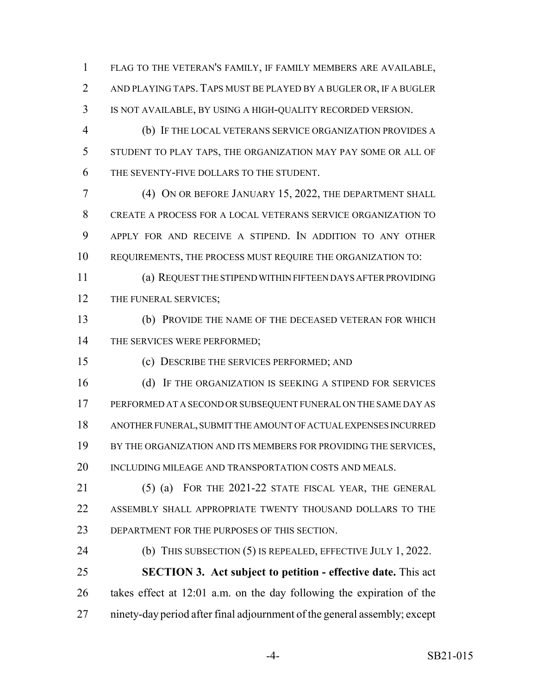FLAG TO THE VETERAN'S FAMILY, IF FAMILY MEMBERS ARE AVAILABLE, AND PLAYING TAPS. TAPS MUST BE PLAYED BY A BUGLER OR, IF A BUGLER IS NOT AVAILABLE, BY USING A HIGH-QUALITY RECORDED VERSION.

 (b) IF THE LOCAL VETERANS SERVICE ORGANIZATION PROVIDES A STUDENT TO PLAY TAPS, THE ORGANIZATION MAY PAY SOME OR ALL OF THE SEVENTY-FIVE DOLLARS TO THE STUDENT.

 (4) ON OR BEFORE JANUARY 15, 2022, THE DEPARTMENT SHALL CREATE A PROCESS FOR A LOCAL VETERANS SERVICE ORGANIZATION TO APPLY FOR AND RECEIVE A STIPEND. IN ADDITION TO ANY OTHER REQUIREMENTS, THE PROCESS MUST REQUIRE THE ORGANIZATION TO:

 (a) REQUEST THE STIPEND WITHIN FIFTEEN DAYS AFTER PROVIDING 12 THE FUNERAL SERVICES;

 (b) PROVIDE THE NAME OF THE DECEASED VETERAN FOR WHICH 14 THE SERVICES WERE PERFORMED;

(c) DESCRIBE THE SERVICES PERFORMED; AND

16 (d) IF THE ORGANIZATION IS SEEKING A STIPEND FOR SERVICES PERFORMED AT A SECOND OR SUBSEQUENT FUNERAL ON THE SAME DAY AS ANOTHER FUNERAL, SUBMIT THE AMOUNT OF ACTUAL EXPENSES INCURRED 19 BY THE ORGANIZATION AND ITS MEMBERS FOR PROVIDING THE SERVICES, 20 INCLUDING MILEAGE AND TRANSPORTATION COSTS AND MEALS.

 (5) (a) FOR THE 2021-22 STATE FISCAL YEAR, THE GENERAL ASSEMBLY SHALL APPROPRIATE TWENTY THOUSAND DOLLARS TO THE DEPARTMENT FOR THE PURPOSES OF THIS SECTION.

 (b) THIS SUBSECTION (5) IS REPEALED, EFFECTIVE JULY 1, 2022. **SECTION 3. Act subject to petition - effective date.** This act takes effect at 12:01 a.m. on the day following the expiration of the ninety-day period after final adjournment of the general assembly; except